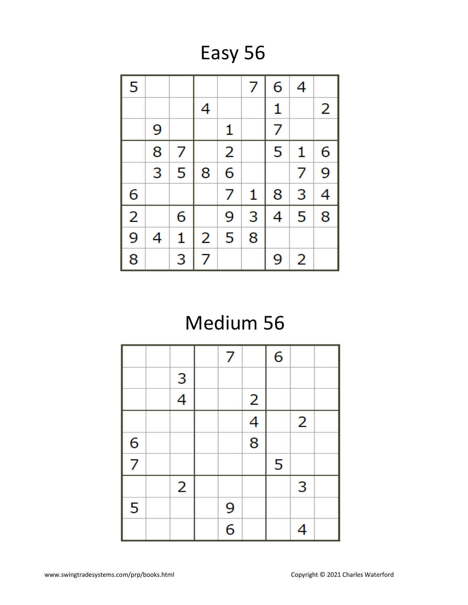Easy 56

| 5              |   |   |   |                | 7 | 6            | 4 |   |
|----------------|---|---|---|----------------|---|--------------|---|---|
|                |   |   | 4 |                |   | $\mathbf{1}$ |   | 2 |
|                | 9 |   |   | 1              |   | 7            |   |   |
|                | 8 | 7 |   | $\overline{2}$ |   | 5            | 1 | 6 |
|                | 3 | 5 | 8 | 6              |   |              | 7 | 9 |
| 6              |   |   |   | 7              | 1 | 8            | 3 | 4 |
| $\overline{2}$ |   | 6 |   | 9              | 3 | 4            | 5 | 8 |
| $\overline{9}$ | 4 | 1 | 2 | 5              | 8 |              |   |   |
| 8              |   | 3 | 7 |                |   | 9            | 2 |   |

### Medium 56

|               |                | 7             |                          | 6 |                |  |
|---------------|----------------|---------------|--------------------------|---|----------------|--|
|               | $\frac{3}{4}$  |               |                          |   |                |  |
|               |                |               | $\overline{2}$           |   |                |  |
|               |                |               | $\overline{\mathcal{A}}$ |   | $\overline{2}$ |  |
|               |                |               | 8                        |   |                |  |
| $\frac{6}{7}$ |                |               |                          | 5 |                |  |
|               | $\overline{2}$ |               |                          |   | 3              |  |
| 5             |                |               |                          |   |                |  |
|               |                | $\frac{9}{6}$ |                          |   | 4              |  |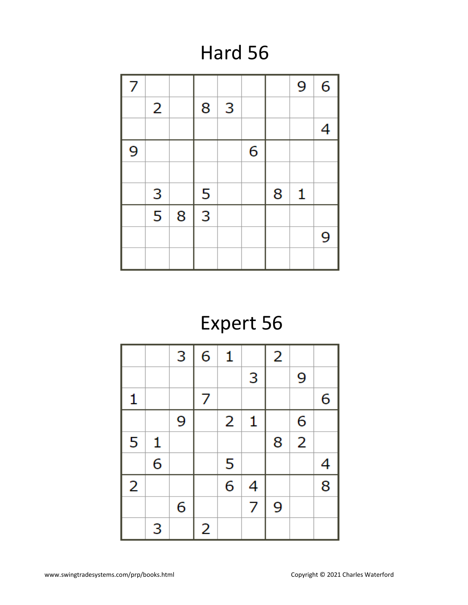## Hard 56

| 7 |                |   |   |   |   |   | 9            | 6 |
|---|----------------|---|---|---|---|---|--------------|---|
|   | $\overline{2}$ |   | 8 | 3 |   |   |              |   |
|   |                |   |   |   |   |   |              | 4 |
| 9 |                |   |   |   | 6 |   |              |   |
|   |                |   |   |   |   |   |              |   |
|   | 3              |   | 5 |   |   | 8 | $\mathbf{1}$ |   |
|   | $\overline{5}$ | 8 |   |   |   |   |              |   |
|   |                |   |   |   |   |   |              | 9 |
|   |                |   |   |   |   |   |              |   |

# Expert 56

|                |              | 3 | 6 | 1 |   | $\overline{2}$ |                |   |
|----------------|--------------|---|---|---|---|----------------|----------------|---|
|                |              |   |   |   | 3 |                | 9              |   |
| 1              |              |   | 7 |   |   |                |                | 6 |
|                |              | 9 |   | 2 | 1 |                | 6              |   |
| 5              | $\mathbf{1}$ |   |   |   |   | 8              | $\overline{2}$ |   |
|                | 6            |   |   | 5 |   |                |                | 4 |
| $\overline{2}$ |              |   |   | 6 | 4 |                |                | 8 |
|                |              | 6 |   |   | 7 | 9              |                |   |
|                | 3            |   | 2 |   |   |                |                |   |